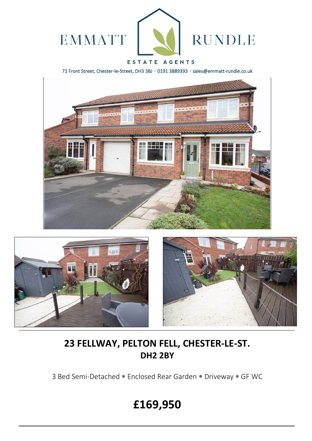

## ESTATE AGENTS

71 Front Street, Chester-le-Street, DH3 3BJ \* 0191 3889393 \* sales@emmatt-rundle.co.uk







# **23 FELLWAY, PELTON FELL, CHESTER-LE-ST. DH2 2BY**

3 Bed Semi-Detached \* Enclosed Rear Garden \* Driveway \* GF WC

# **£169,950**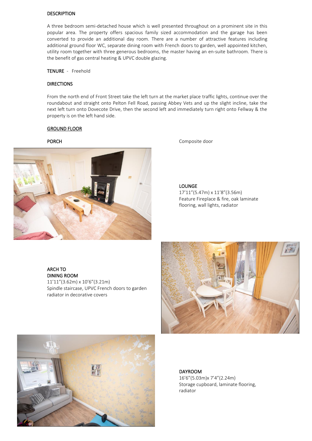#### DESCRIPTION

A three bedroom semi-detached house which is well presented throughout on a prominent site in this popular area. The property offers spacious family sized accommodation and the garage has been converted to provide an additional day room. There are a number of attractive features including additional ground floor WC, separate dining room with French doors to garden, well appointed kitchen, utility room together with three generous bedrooms, the master having an en-suite bathroom. There is the benefit of gas central heating & UPVC double glazing.

#### TENURE - Freehold

#### **DIRECTIONS**

From the north end of Front Street take the left turn at the market place traffic lights, continue over the roundabout and straight onto Pelton Fell Road, passing Abbey Vets and up the slight incline, take the next left turn onto Dovecote Drive, then the second left and immediately turn right onto Fellway & the property is on the left hand side.

#### GROUND FLOOR



#### PORCH Composite door

LOUNGE

17'11"(5.47m) x 11'8"(3.56m) Feature Fireplace & fire, oak laminate flooring, wall lights, radiator

#### ARCH TO DINING ROOM

11'11"(3.62m) x 10'6"(3.21m) Spindle staircase, UPVC French doors to garden radiator in decorative covers





#### DAYROOM

16'6"(5.03m)x 7'4"(2.24m) Storage cupboard, laminate flooring, radiator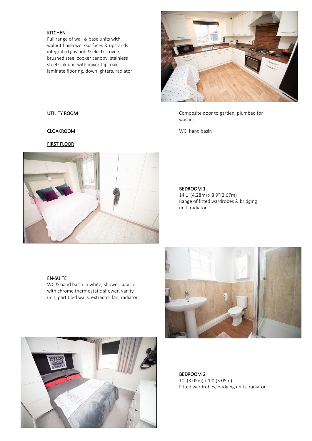#### **KITCHEN**

Full range of wall & base units with walnut finish worksurfaces & upstands integrated gas hob & electric oven, brushed steel cooker canopy, stainless steel sink unit with mixer tap, oak laminate flooring, downlighters, radiator



UTILITY ROOM Composite door to garden, plumbed for washer

CLOAKROOM WC, hand basin

### FIRST FLOOR



#### BEDROOM 1

14'1"(4.28m) x 8'9"(2.67m) Range of fitted wardrobes & bridging unit, radiator

### EN-SUITE

WC & hand basin in white, shower cubicle with chrome thermostatic shower, vanity unit, part tiled walls, extractor fan, radiator





BEDROOM 2 10' (3.05m) x 10' (3.05m) Fitted wardrobes, bridging units, radiator